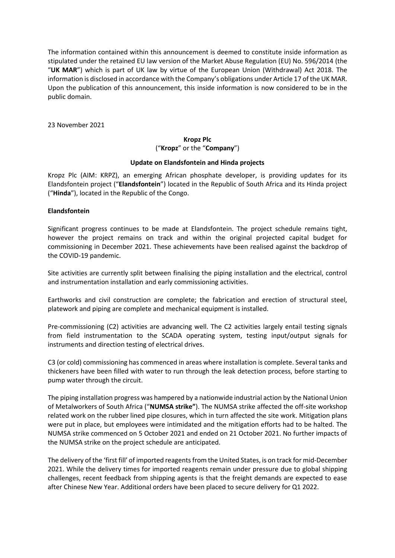The information contained within this announcement is deemed to constitute inside information as stipulated under the retained EU law version of the Market Abuse Regulation (EU) No. 596/2014 (the "**UK MAR**") which is part of UK law by virtue of the European Union (Withdrawal) Act 2018. The information is disclosed in accordance with the Company's obligations under Article 17 of the UK MAR. Upon the publication of this announcement, this inside information is now considered to be in the public domain.

23 November 2021

# **Kropz Plc** ("**Kropz**" or the "**Company**")

## **Update on Elandsfontein and Hinda projects**

Kropz Plc (AIM: KRPZ), an emerging African phosphate developer, is providing updates for its Elandsfontein project ("**Elandsfontein**") located in the Republic of South Africa and its Hinda project ("**Hinda**"), located in the Republic of the Congo.

## **Elandsfontein**

Significant progress continues to be made at Elandsfontein. The project schedule remains tight, however the project remains on track and within the original projected capital budget for commissioning in December 2021. These achievements have been realised against the backdrop of the COVID-19 pandemic.

Site activities are currently split between finalising the piping installation and the electrical, control and instrumentation installation and early commissioning activities.

Earthworks and civil construction are complete; the fabrication and erection of structural steel, platework and piping are complete and mechanical equipment is installed.

Pre-commissioning (C2) activities are advancing well. The C2 activities largely entail testing signals from field instrumentation to the SCADA operating system, testing input/output signals for instruments and direction testing of electrical drives.

C3 (or cold) commissioning has commenced in areas where installation is complete. Several tanks and thickeners have been filled with water to run through the leak detection process, before starting to pump water through the circuit.

The piping installation progress was hampered by a nationwide industrial action by the National Union of Metalworkers of South Africa ("**NUMSA strike"**). The NUMSA strike affected the off-site workshop related work on the rubber lined pipe closures, which in turn affected the site work. Mitigation plans were put in place, but employees were intimidated and the mitigation efforts had to be halted. The NUMSA strike commenced on 5 October 2021 and ended on 21 October 2021. No further impacts of the NUMSA strike on the project schedule are anticipated.

The delivery of the 'first fill' of imported reagents from the United States, is on track for mid-December 2021. While the delivery times for imported reagents remain under pressure due to global shipping challenges, recent feedback from shipping agents is that the freight demands are expected to ease after Chinese New Year. Additional orders have been placed to secure delivery for Q1 2022.